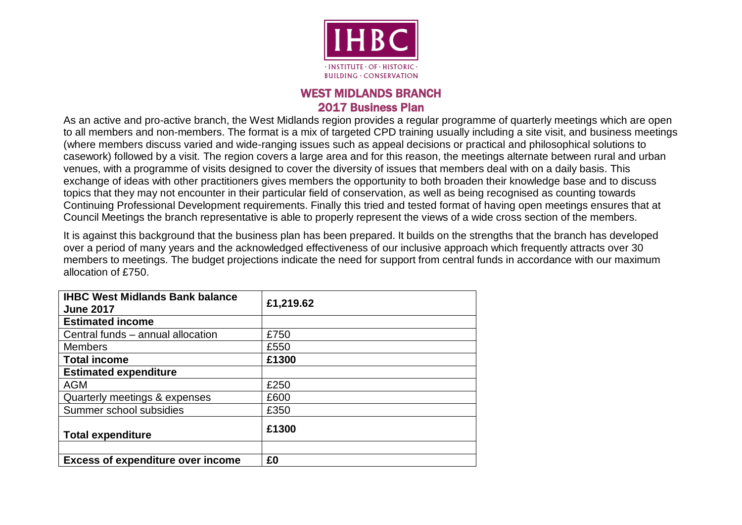

## WEST MIDLANDS BRANCH 2017 Business Plan

As an active and pro-active branch, the West Midlands region provides a regular programme of quarterly meetings which are open to all members and non-members. The format is a mix of targeted CPD training usually including a site visit, and business meetings (where members discuss varied and wide-ranging issues such as appeal decisions or practical and philosophical solutions to casework) followed by a visit. The region covers a large area and for this reason, the meetings alternate between rural and urban venues, with a programme of visits designed to cover the diversity of issues that members deal with on a daily basis. This exchange of ideas with other practitioners gives members the opportunity to both broaden their knowledge base and to discuss topics that they may not encounter in their particular field of conservation, as well as being recognised as counting towards Continuing Professional Development requirements. Finally this tried and tested format of having open meetings ensures that at Council Meetings the branch representative is able to properly represent the views of a wide cross section of the members.

It is against this background that the business plan has been prepared. It builds on the strengths that the branch has developed over a period of many years and the acknowledged effectiveness of our inclusive approach which frequently attracts over 30 members to meetings. The budget projections indicate the need for support from central funds in accordance with our maximum allocation of £750.

| <b>IHBC West Midlands Bank balance</b><br><b>June 2017</b> | £1,219.62 |
|------------------------------------------------------------|-----------|
| <b>Estimated income</b>                                    |           |
| Central funds - annual allocation                          | £750      |
| <b>Members</b>                                             | £550      |
| <b>Total income</b>                                        | £1300     |
| <b>Estimated expenditure</b>                               |           |
| <b>AGM</b>                                                 | £250      |
| Quarterly meetings & expenses                              | £600      |
| Summer school subsidies                                    | £350      |
| <b>Total expenditure</b>                                   | £1300     |
|                                                            |           |
| <b>Excess of expenditure over income</b>                   | £0        |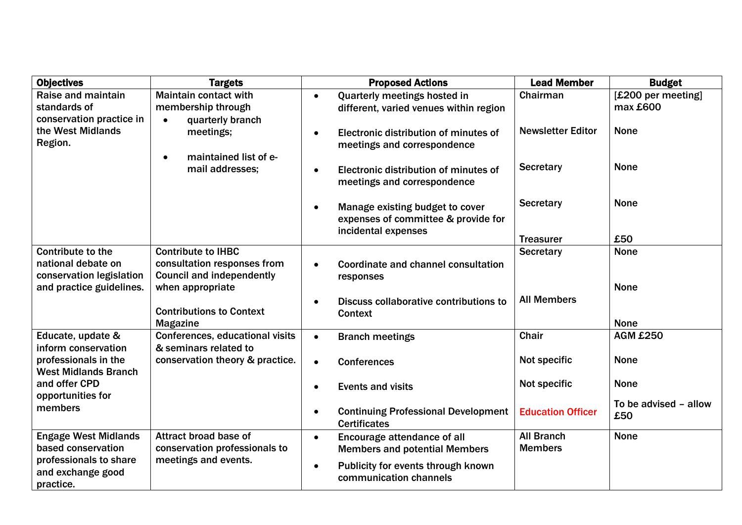| <b>Objectives</b>                                                          | <b>Targets</b>                                                                               | <b>Proposed Actions</b>                                                                       | <b>Lead Member</b>                  | <b>Budget</b>                  |
|----------------------------------------------------------------------------|----------------------------------------------------------------------------------------------|-----------------------------------------------------------------------------------------------|-------------------------------------|--------------------------------|
| Raise and maintain<br>standards of<br>conservation practice in             | <b>Maintain contact with</b><br>membership through<br>quarterly branch<br>$\bullet$          | Quarterly meetings hosted in<br>$\bullet$<br>different, varied venues within region           | Chairman                            | [£200 per meeting]<br>max £600 |
| the West Midlands<br>Region.                                               | meetings;<br>maintained list of e-<br>$\bullet$                                              | Electronic distribution of minutes of<br>meetings and correspondence                          | <b>Newsletter Editor</b>            | <b>None</b>                    |
| mail addresses;                                                            | Electronic distribution of minutes of<br>meetings and correspondence                         | <b>Secretary</b>                                                                              | <b>None</b>                         |                                |
|                                                                            |                                                                                              | Manage existing budget to cover<br>expenses of committee & provide for<br>incidental expenses | <b>Secretary</b>                    | <b>None</b>                    |
|                                                                            |                                                                                              |                                                                                               | <b>Treasurer</b>                    | £50                            |
| <b>Contribute to the</b><br>national debate on<br>conservation legislation | <b>Contribute to IHBC</b><br>consultation responses from<br><b>Council and independently</b> | Coordinate and channel consultation<br>responses                                              | <b>Secretary</b>                    | <b>None</b>                    |
| and practice guidelines.                                                   | when appropriate<br><b>Contributions to Context</b><br><b>Magazine</b>                       | Discuss collaborative contributions to<br><b>Context</b>                                      | <b>All Members</b>                  | <b>None</b><br><b>None</b>     |
| Educate, update &<br>inform conservation                                   | <b>Conferences, educational visits</b><br>& seminars related to                              | <b>Branch meetings</b><br>$\bullet$                                                           | <b>Chair</b>                        | <b>AGM £250</b>                |
| professionals in the<br><b>West Midlands Branch</b>                        | conservation theory & practice.                                                              | <b>Conferences</b>                                                                            | Not specific                        | <b>None</b>                    |
| and offer CPD<br>opportunities for                                         |                                                                                              | <b>Events and visits</b>                                                                      | Not specific                        | <b>None</b>                    |
| members                                                                    | <b>Continuing Professional Development</b><br><b>Certificates</b>                            | <b>Education Officer</b>                                                                      | To be advised - allow<br>£50        |                                |
| <b>Engage West Midlands</b><br>based conservation                          | Attract broad base of<br>conservation professionals to                                       | Encourage attendance of all<br>$\bullet$<br><b>Members and potential Members</b>              | <b>All Branch</b><br><b>Members</b> | <b>None</b>                    |
| professionals to share<br>and exchange good<br>practice.                   | meetings and events.                                                                         | Publicity for events through known<br>$\bullet$<br>communication channels                     |                                     |                                |